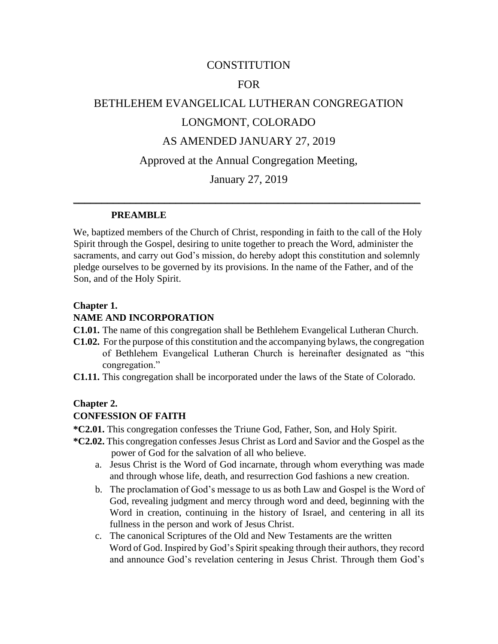### **CONSTITUTION**

#### FOR

# BETHLEHEM EVANGELICAL LUTHERAN CONGREGATION LONGMONT, COLORADO

### AS AMENDED JANUARY 27, 2019

#### Approved at the Annual Congregation Meeting,

### January 27, 2019

\_\_\_\_\_\_\_\_\_\_\_\_\_\_\_\_\_\_\_\_\_\_\_\_\_\_\_\_\_\_\_\_\_\_\_\_\_\_\_\_\_\_\_\_\_\_\_\_\_\_\_\_\_\_\_\_\_\_\_\_\_

#### **PREAMBLE**

We, baptized members of the Church of Christ, responding in faith to the call of the Holy Spirit through the Gospel, desiring to unite together to preach the Word, administer the sacraments, and carry out God's mission, do hereby adopt this constitution and solemnly pledge ourselves to be governed by its provisions. In the name of the Father, and of the Son, and of the Holy Spirit.

#### **Chapter 1.**

#### **NAME AND INCORPORATION**

- **C1.01.** The name of this congregation shall be Bethlehem Evangelical Lutheran Church.
- **C1.02.** For the purpose of this constitution and the accompanying bylaws, the congregation of Bethlehem Evangelical Lutheran Church is hereinafter designated as "this congregation."
- **C1.11.** This congregation shall be incorporated under the laws of the State of Colorado.

#### **Chapter 2.**

#### **CONFESSION OF FAITH**

**\*C2.01.** This congregation confesses the Triune God, Father, Son, and Holy Spirit.

- **\*C2.02.** This congregation confesses Jesus Christ as Lord and Savior and the Gospel as the power of God for the salvation of all who believe.
	- a. Jesus Christ is the Word of God incarnate, through whom everything was made and through whose life, death, and resurrection God fashions a new creation.
	- b. The proclamation of God's message to us as both Law and Gospel is the Word of God, revealing judgment and mercy through word and deed, beginning with the Word in creation, continuing in the history of Israel, and centering in all its fullness in the person and work of Jesus Christ.
	- c. The canonical Scriptures of the Old and New Testaments are the written Word of God. Inspired by God's Spirit speaking through their authors, they record and announce God's revelation centering in Jesus Christ. Through them God's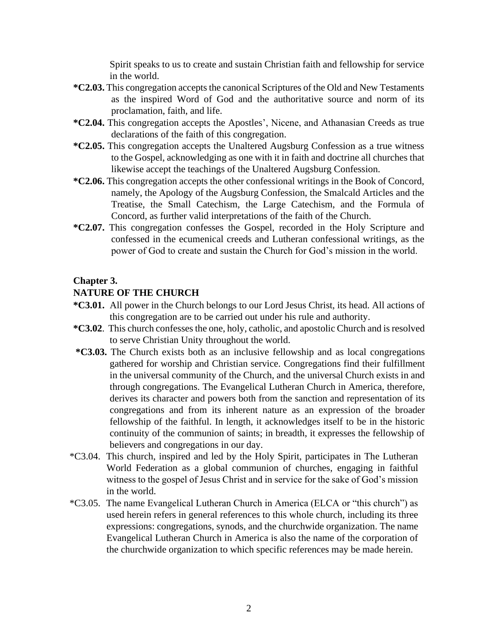Spirit speaks to us to create and sustain Christian faith and fellowship for service in the world.

- **\*C2.03.** This congregation accepts the canonical Scriptures of the Old and New Testaments as the inspired Word of God and the authoritative source and norm of its proclamation, faith, and life.
- **\*C2.04.** This congregation accepts the Apostles', Nicene, and Athanasian Creeds as true declarations of the faith of this congregation.
- **\*C2.05.** This congregation accepts the Unaltered Augsburg Confession as a true witness to the Gospel, acknowledging as one with it in faith and doctrine all churches that likewise accept the teachings of the Unaltered Augsburg Confession.
- **\*C2.06.** This congregation accepts the other confessional writings in the Book of Concord, namely, the Apology of the Augsburg Confession, the Smalcald Articles and the Treatise, the Small Catechism, the Large Catechism, and the Formula of Concord, as further valid interpretations of the faith of the Church.
- **\*C2.07.** This congregation confesses the Gospel, recorded in the Holy Scripture and confessed in the ecumenical creeds and Lutheran confessional writings, as the power of God to create and sustain the Church for God's mission in the world.

### **Chapter 3.**

### **NATURE OF THE CHURCH**

- **\*C3.01.** All power in the Church belongs to our Lord Jesus Christ, its head. All actions of this congregation are to be carried out under his rule and authority.
- **\*C3.02**. This church confesses the one, holy, catholic, and apostolic Church and is resolved to serve Christian Unity throughout the world.
- **\*C3.03.** The Church exists both as an inclusive fellowship and as local congregations gathered for worship and Christian service. Congregations find their fulfillment in the universal community of the Church, and the universal Church exists in and through congregations. The Evangelical Lutheran Church in America, therefore, derives its character and powers both from the sanction and representation of its congregations and from its inherent nature as an expression of the broader fellowship of the faithful. In length, it acknowledges itself to be in the historic continuity of the communion of saints; in breadth, it expresses the fellowship of believers and congregations in our day.
- \*C3.04. This church, inspired and led by the Holy Spirit, participates in The Lutheran World Federation as a global communion of churches, engaging in faithful witness to the gospel of Jesus Christ and in service for the sake of God's mission in the world.
- \*C3.05. The name Evangelical Lutheran Church in America (ELCA or "this church") as used herein refers in general references to this whole church, including its three expressions: congregations, synods, and the churchwide organization. The name Evangelical Lutheran Church in America is also the name of the corporation of the churchwide organization to which specific references may be made herein.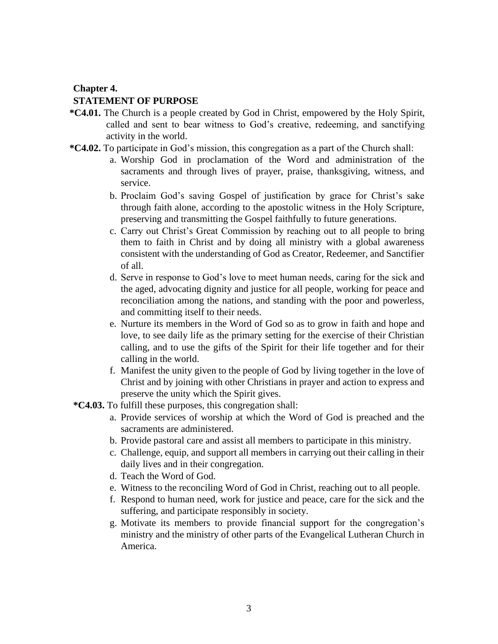#### **Chapter 4.**

#### **STATEMENT OF PURPOSE**

- **\*C4.01.** The Church is a people created by God in Christ, empowered by the Holy Spirit, called and sent to bear witness to God's creative, redeeming, and sanctifying activity in the world.
- **\*C4.02.** To participate in God's mission, this congregation as a part of the Church shall:
	- a. Worship God in proclamation of the Word and administration of the sacraments and through lives of prayer, praise, thanksgiving, witness, and service.
	- b. Proclaim God's saving Gospel of justification by grace for Christ's sake through faith alone, according to the apostolic witness in the Holy Scripture, preserving and transmitting the Gospel faithfully to future generations.
	- c. Carry out Christ's Great Commission by reaching out to all people to bring them to faith in Christ and by doing all ministry with a global awareness consistent with the understanding of God as Creator, Redeemer, and Sanctifier of all.
	- d. Serve in response to God's love to meet human needs, caring for the sick and the aged, advocating dignity and justice for all people, working for peace and reconciliation among the nations, and standing with the poor and powerless, and committing itself to their needs.
	- e. Nurture its members in the Word of God so as to grow in faith and hope and love, to see daily life as the primary setting for the exercise of their Christian calling, and to use the gifts of the Spirit for their life together and for their calling in the world.
	- f. Manifest the unity given to the people of God by living together in the love of Christ and by joining with other Christians in prayer and action to express and preserve the unity which the Spirit gives.
- **\*C4.03.** To fulfill these purposes, this congregation shall:
	- a. Provide services of worship at which the Word of God is preached and the sacraments are administered.
	- b. Provide pastoral care and assist all members to participate in this ministry.
	- c. Challenge, equip, and support all members in carrying out their calling in their daily lives and in their congregation.
	- d. Teach the Word of God.
	- e. Witness to the reconciling Word of God in Christ, reaching out to all people.
	- f. Respond to human need, work for justice and peace, care for the sick and the suffering, and participate responsibly in society.
	- g. Motivate its members to provide financial support for the congregation's ministry and the ministry of other parts of the Evangelical Lutheran Church in America.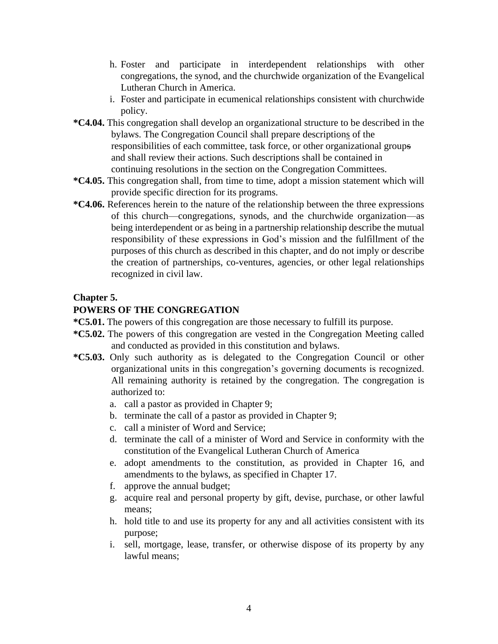- h. Foster and participate in interdependent relationships with other congregations, the synod, and the churchwide organization of the Evangelical Lutheran Church in America.
- i. Foster and participate in ecumenical relationships consistent with churchwide policy.
- **\*C4.04.** This congregation shall develop an organizational structure to be described in the bylaws. The Congregation Council shall prepare descriptions of the responsibilities of each committee, task force, or other organizational groups and shall review their actions. Such descriptions shall be contained in continuing resolutions in the section on the Congregation Committees.
- **\*C4.05.** This congregation shall, from time to time, adopt a mission statement which will provide specific direction for its programs.
- **\*C4.06.** References herein to the nature of the relationship between the three expressions of this church—congregations, synods, and the churchwide organization—as being interdependent or as being in a partnership relationship describe the mutual responsibility of these expressions in God's mission and the fulfillment of the purposes of this church as described in this chapter, and do not imply or describe the creation of partnerships, co-ventures, agencies, or other legal relationships recognized in civil law.

#### **Chapter 5.**

### **POWERS OF THE CONGREGATION**

- **\*C5.01.** The powers of this congregation are those necessary to fulfill its purpose.
- **\*C5.02.** The powers of this congregation are vested in the Congregation Meeting called and conducted as provided in this constitution and bylaws.
- **\*C5.03.** Only such authority as is delegated to the Congregation Council or other organizational units in this congregation's governing documents is recognized. All remaining authority is retained by the congregation. The congregation is authorized to:
	- a. call a pastor as provided in Chapter 9;
	- b. terminate the call of a pastor as provided in Chapter 9;
	- c. call a minister of Word and Service;
	- d. terminate the call of a minister of Word and Service in conformity with the constitution of the Evangelical Lutheran Church of America
	- e. adopt amendments to the constitution, as provided in Chapter 16, and amendments to the bylaws, as specified in Chapter 17.
	- f. approve the annual budget;
	- g. acquire real and personal property by gift, devise, purchase, or other lawful means;
	- h. hold title to and use its property for any and all activities consistent with its purpose;
	- i. sell, mortgage, lease, transfer, or otherwise dispose of its property by any lawful means;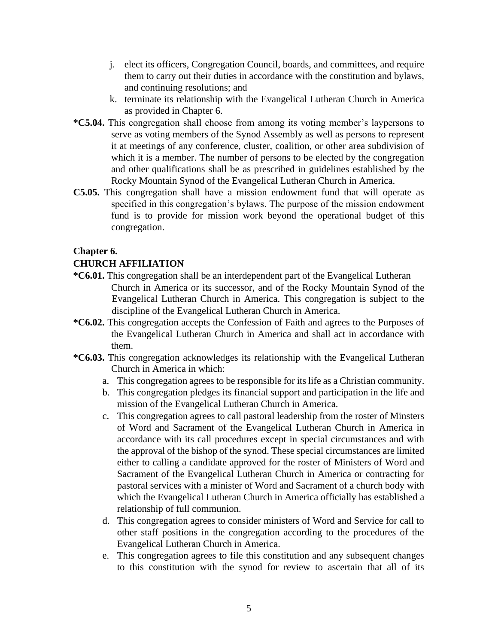- j. elect its officers, Congregation Council, boards, and committees, and require them to carry out their duties in accordance with the constitution and bylaws, and continuing resolutions; and
- k. terminate its relationship with the Evangelical Lutheran Church in America as provided in Chapter 6.
- **\*C5.04.** This congregation shall choose from among its voting member's laypersons to serve as voting members of the Synod Assembly as well as persons to represent it at meetings of any conference, cluster, coalition, or other area subdivision of which it is a member. The number of persons to be elected by the congregation and other qualifications shall be as prescribed in guidelines established by the Rocky Mountain Synod of the Evangelical Lutheran Church in America.
- **C5.05.** This congregation shall have a mission endowment fund that will operate as specified in this congregation's bylaws. The purpose of the mission endowment fund is to provide for mission work beyond the operational budget of this congregation.

### **Chapter 6.**

### **CHURCH AFFILIATION**

- **\*C6.01.** This congregation shall be an interdependent part of the Evangelical Lutheran Church in America or its successor, and of the Rocky Mountain Synod of the Evangelical Lutheran Church in America. This congregation is subject to the discipline of the Evangelical Lutheran Church in America.
- **\*C6.02.** This congregation accepts the Confession of Faith and agrees to the Purposes of the Evangelical Lutheran Church in America and shall act in accordance with them.
- **\*C6.03.** This congregation acknowledges its relationship with the Evangelical Lutheran Church in America in which:
	- a. This congregation agrees to be responsible for its life as a Christian community.
	- b. This congregation pledges its financial support and participation in the life and mission of the Evangelical Lutheran Church in America.
	- c. This congregation agrees to call pastoral leadership from the roster of Minsters of Word and Sacrament of the Evangelical Lutheran Church in America in accordance with its call procedures except in special circumstances and with the approval of the bishop of the synod. These special circumstances are limited either to calling a candidate approved for the roster of Ministers of Word and Sacrament of the Evangelical Lutheran Church in America or contracting for pastoral services with a minister of Word and Sacrament of a church body with which the Evangelical Lutheran Church in America officially has established a relationship of full communion.
	- d. This congregation agrees to consider ministers of Word and Service for call to other staff positions in the congregation according to the procedures of the Evangelical Lutheran Church in America.
	- e. This congregation agrees to file this constitution and any subsequent changes to this constitution with the synod for review to ascertain that all of its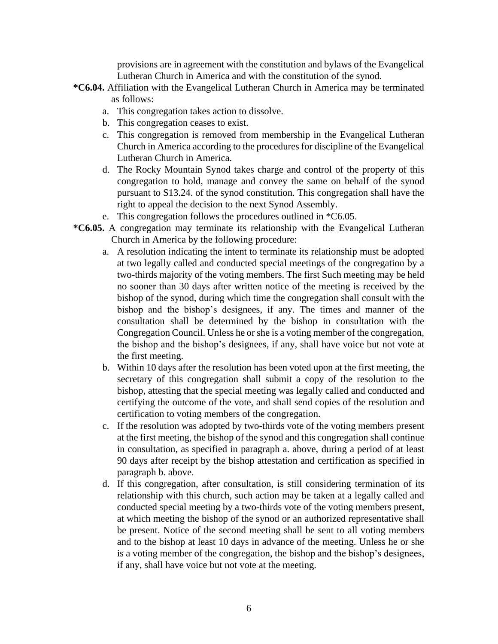provisions are in agreement with the constitution and bylaws of the Evangelical Lutheran Church in America and with the constitution of the synod.

- **\*C6.04.** Affiliation with the Evangelical Lutheran Church in America may be terminated as follows:
	- a. This congregation takes action to dissolve.
	- b. This congregation ceases to exist.
	- c. This congregation is removed from membership in the Evangelical Lutheran Church in America according to the procedures for discipline of the Evangelical Lutheran Church in America.
	- d. The Rocky Mountain Synod takes charge and control of the property of this congregation to hold, manage and convey the same on behalf of the synod pursuant to S13.24. of the synod constitution. This congregation shall have the right to appeal the decision to the next Synod Assembly.
	- e. This congregation follows the procedures outlined in \*C6.05.
- **\*C6.05.** A congregation may terminate its relationship with the Evangelical Lutheran Church in America by the following procedure:
	- a. A resolution indicating the intent to terminate its relationship must be adopted at two legally called and conducted special meetings of the congregation by a two-thirds majority of the voting members. The first Such meeting may be held no sooner than 30 days after written notice of the meeting is received by the bishop of the synod, during which time the congregation shall consult with the bishop and the bishop's designees, if any. The times and manner of the consultation shall be determined by the bishop in consultation with the Congregation Council. Unless he or she is a voting member of the congregation, the bishop and the bishop's designees, if any, shall have voice but not vote at the first meeting.
	- b. Within 10 days after the resolution has been voted upon at the first meeting, the secretary of this congregation shall submit a copy of the resolution to the bishop, attesting that the special meeting was legally called and conducted and certifying the outcome of the vote, and shall send copies of the resolution and certification to voting members of the congregation.
	- c. If the resolution was adopted by two-thirds vote of the voting members present at the first meeting, the bishop of the synod and this congregation shall continue in consultation, as specified in paragraph a. above, during a period of at least 90 days after receipt by the bishop attestation and certification as specified in paragraph b. above.
	- d. If this congregation, after consultation, is still considering termination of its relationship with this church, such action may be taken at a legally called and conducted special meeting by a two-thirds vote of the voting members present, at which meeting the bishop of the synod or an authorized representative shall be present. Notice of the second meeting shall be sent to all voting members and to the bishop at least 10 days in advance of the meeting. Unless he or she is a voting member of the congregation, the bishop and the bishop's designees, if any, shall have voice but not vote at the meeting.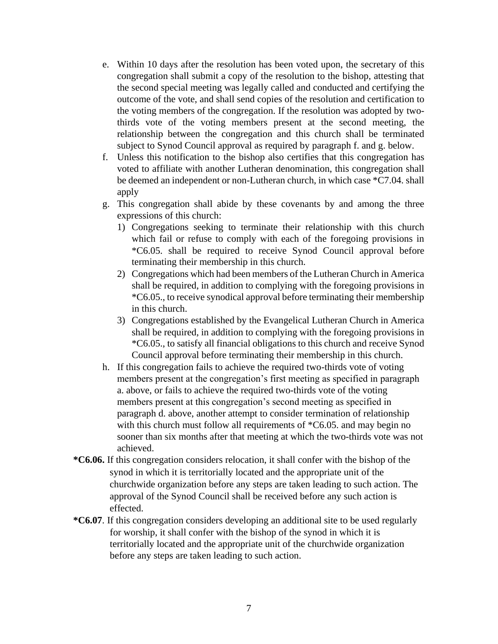- e. Within 10 days after the resolution has been voted upon, the secretary of this congregation shall submit a copy of the resolution to the bishop, attesting that the second special meeting was legally called and conducted and certifying the outcome of the vote, and shall send copies of the resolution and certification to the voting members of the congregation. If the resolution was adopted by twothirds vote of the voting members present at the second meeting, the relationship between the congregation and this church shall be terminated subject to Synod Council approval as required by paragraph f. and g. below.
- f. Unless this notification to the bishop also certifies that this congregation has voted to affiliate with another Lutheran denomination, this congregation shall be deemed an independent or non-Lutheran church, in which case \*C7.04. shall apply
- g. This congregation shall abide by these covenants by and among the three expressions of this church:
	- 1) Congregations seeking to terminate their relationship with this church which fail or refuse to comply with each of the foregoing provisions in \*C6.05. shall be required to receive Synod Council approval before terminating their membership in this church.
	- 2) Congregations which had been members of the Lutheran Church in America shall be required, in addition to complying with the foregoing provisions in \*C6.05., to receive synodical approval before terminating their membership in this church.
	- 3) Congregations established by the Evangelical Lutheran Church in America shall be required, in addition to complying with the foregoing provisions in \*C6.05., to satisfy all financial obligations to this church and receive Synod Council approval before terminating their membership in this church.
- h. If this congregation fails to achieve the required two-thirds vote of voting members present at the congregation's first meeting as specified in paragraph a. above, or fails to achieve the required two-thirds vote of the voting members present at this congregation's second meeting as specified in paragraph d. above, another attempt to consider termination of relationship with this church must follow all requirements of  $*C6.05$ . and may begin no sooner than six months after that meeting at which the two-thirds vote was not achieved.
- **\*C6.06.** If this congregation considers relocation, it shall confer with the bishop of the synod in which it is territorially located and the appropriate unit of the churchwide organization before any steps are taken leading to such action. The approval of the Synod Council shall be received before any such action is effected.
- **\*C6.07**. If this congregation considers developing an additional site to be used regularly for worship, it shall confer with the bishop of the synod in which it is territorially located and the appropriate unit of the churchwide organization before any steps are taken leading to such action.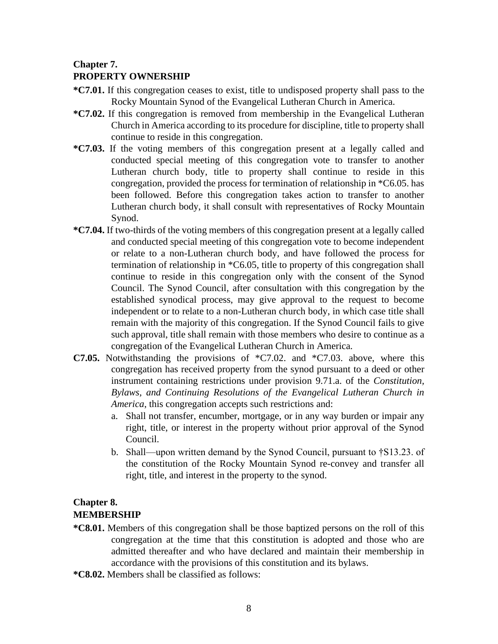#### **Chapter 7.**

### **PROPERTY OWNERSHIP**

- **\*C7.01.** If this congregation ceases to exist, title to undisposed property shall pass to the Rocky Mountain Synod of the Evangelical Lutheran Church in America.
- **\*C7.02.** If this congregation is removed from membership in the Evangelical Lutheran Church in America according to its procedure for discipline, title to property shall continue to reside in this congregation.
- **\*C7.03.** If the voting members of this congregation present at a legally called and conducted special meeting of this congregation vote to transfer to another Lutheran church body, title to property shall continue to reside in this congregation, provided the process for termination of relationship in \*C6.05. has been followed. Before this congregation takes action to transfer to another Lutheran church body, it shall consult with representatives of Rocky Mountain Synod.
- **\*C7.04.** If two-thirds of the voting members of this congregation present at a legally called and conducted special meeting of this congregation vote to become independent or relate to a non-Lutheran church body, and have followed the process for termination of relationship in \*C6.05, title to property of this congregation shall continue to reside in this congregation only with the consent of the Synod Council. The Synod Council, after consultation with this congregation by the established synodical process, may give approval to the request to become independent or to relate to a non-Lutheran church body, in which case title shall remain with the majority of this congregation. If the Synod Council fails to give such approval, title shall remain with those members who desire to continue as a congregation of the Evangelical Lutheran Church in America.
- **C7.05.** Notwithstanding the provisions of \*C7.02. and \*C7.03. above, where this congregation has received property from the synod pursuant to a deed or other instrument containing restrictions under provision 9.71.a. of the *Constitution, Bylaws, and Continuing Resolutions of the Evangelical Lutheran Church in America*, this congregation accepts such restrictions and:
	- a. Shall not transfer, encumber, mortgage, or in any way burden or impair any right, title, or interest in the property without prior approval of the Synod Council.
	- b. Shall—upon written demand by the Synod Council, pursuant to †S13.23. of the constitution of the Rocky Mountain Synod re-convey and transfer all right, title, and interest in the property to the synod.

### **Chapter 8. MEMBERSHIP**

- **\*C8.01.** Members of this congregation shall be those baptized persons on the roll of this congregation at the time that this constitution is adopted and those who are admitted thereafter and who have declared and maintain their membership in accordance with the provisions of this constitution and its bylaws.
- **\*C8.02.** Members shall be classified as follows: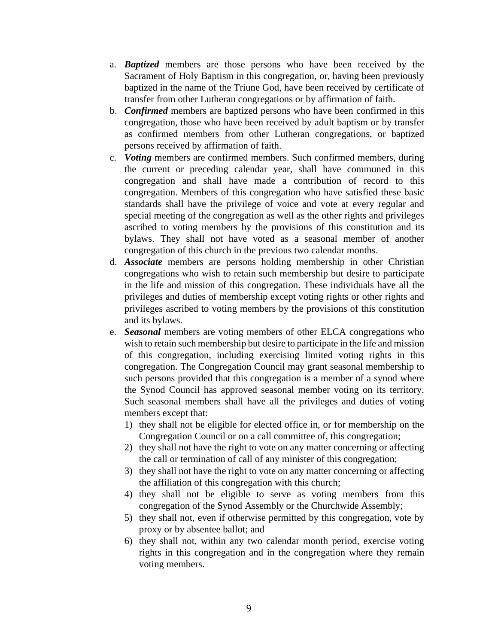- a. *Baptized* members are those persons who have been received by the Sacrament of Holy Baptism in this congregation, or, having been previously baptized in the name of the Triune God, have been received by certificate of transfer from other Lutheran congregations or by affirmation of faith.
- b. *Confirmed* members are baptized persons who have been confirmed in this congregation, those who have been received by adult baptism or by transfer as confirmed members from other Lutheran congregations, or baptized persons received by affirmation of faith.
- c. *Voting* members are confirmed members. Such confirmed members, during the current or preceding calendar year, shall have communed in this congregation and shall have made a contribution of record to this congregation. Members of this congregation who have satisfied these basic standards shall have the privilege of voice and vote at every regular and special meeting of the congregation as well as the other rights and privileges ascribed to voting members by the provisions of this constitution and its bylaws. They shall not have voted as a seasonal member of another congregation of this church in the previous two calendar months.
- d. *Associate* members are persons holding membership in other Christian congregations who wish to retain such membership but desire to participate in the life and mission of this congregation. These individuals have all the privileges and duties of membership except voting rights or other rights and privileges ascribed to voting members by the provisions of this constitution and its bylaws.
- e. *Seasonal* members are voting members of other ELCA congregations who wish to retain such membership but desire to participate in the life and mission of this congregation, including exercising limited voting rights in this congregation. The Congregation Council may grant seasonal membership to such persons provided that this congregation is a member of a synod where the Synod Council has approved seasonal member voting on its territory. Such seasonal members shall have all the privileges and duties of voting members except that:
	- 1) they shall not be eligible for elected office in, or for membership on the Congregation Council or on a call committee of, this congregation;
	- 2) they shall not have the right to vote on any matter concerning or affecting the call or termination of call of any minister of this congregation;
	- 3) they shall not have the right to vote on any matter concerning or affecting the affiliation of this congregation with this church;
	- 4) they shall not be eligible to serve as voting members from this congregation of the Synod Assembly or the Churchwide Assembly;
	- 5) they shall not, even if otherwise permitted by this congregation, vote by proxy or by absentee ballot; and
	- 6) they shall not, within any two calendar month period, exercise voting rights in this congregation and in the congregation where they remain voting members.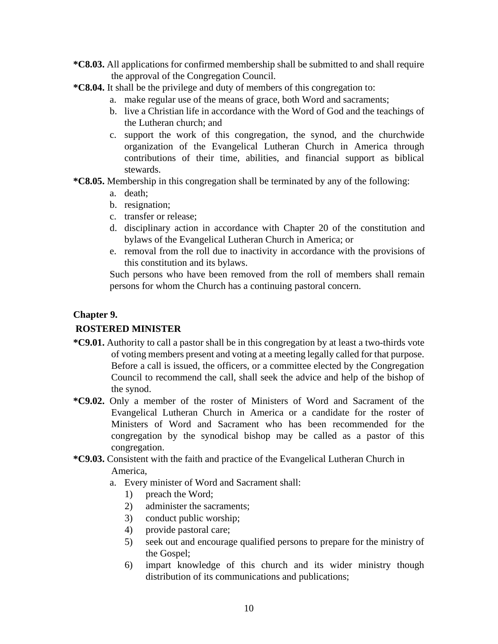- **\*C8.03.** All applications for confirmed membership shall be submitted to and shall require the approval of the Congregation Council.
- **\*C8.04.** It shall be the privilege and duty of members of this congregation to:
	- a. make regular use of the means of grace, both Word and sacraments;
	- b. live a Christian life in accordance with the Word of God and the teachings of the Lutheran church; and
	- c. support the work of this congregation, the synod, and the churchwide organization of the Evangelical Lutheran Church in America through contributions of their time, abilities, and financial support as biblical stewards.
- **\*C8.05.** Membership in this congregation shall be terminated by any of the following:
	- a. death;
	- b. resignation;
	- c. transfer or release;
	- d. disciplinary action in accordance with Chapter 20 of the constitution and bylaws of the Evangelical Lutheran Church in America; or
	- e. removal from the roll due to inactivity in accordance with the provisions of this constitution and its bylaws.

Such persons who have been removed from the roll of members shall remain persons for whom the Church has a continuing pastoral concern.

#### **Chapter 9.**

### **ROSTERED MINISTER**

- **\*C9.01.** Authority to call a pastor shall be in this congregation by at least a two-thirds vote of voting members present and voting at a meeting legally called for that purpose. Before a call is issued, the officers, or a committee elected by the Congregation Council to recommend the call, shall seek the advice and help of the bishop of the synod.
- **\*C9.02.** Only a member of the roster of Ministers of Word and Sacrament of the Evangelical Lutheran Church in America or a candidate for the roster of Ministers of Word and Sacrament who has been recommended for the congregation by the synodical bishop may be called as a pastor of this congregation.
- **\*C9.03.** Consistent with the faith and practice of the Evangelical Lutheran Church in America,
	- a. Every minister of Word and Sacrament shall:
		- 1) preach the Word;
		- 2) administer the sacraments;
		- 3) conduct public worship;
		- 4) provide pastoral care;
		- 5) seek out and encourage qualified persons to prepare for the ministry of the Gospel;
		- 6) impart knowledge of this church and its wider ministry though distribution of its communications and publications;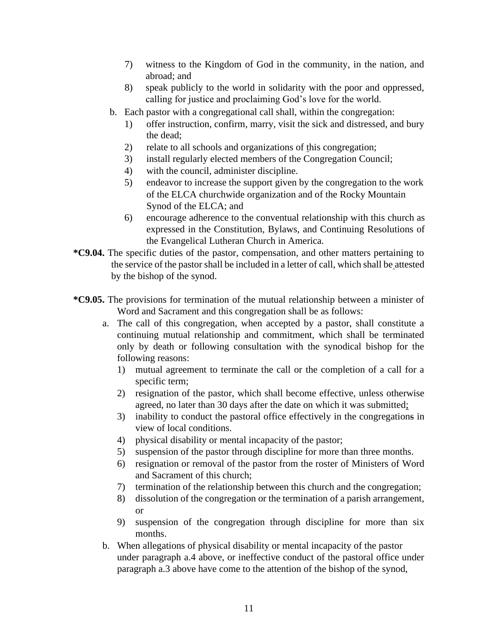- 7) witness to the Kingdom of God in the community, in the nation, and abroad; and
- 8) speak publicly to the world in solidarity with the poor and oppressed, calling for justice and proclaiming God's love for the world.
- b. Each pastor with a congregational call shall, within the congregation:
	- 1) offer instruction, confirm, marry, visit the sick and distressed, and bury the dead;
	- 2) relate to all schools and organizations of this congregation;
	- 3) install regularly elected members of the Congregation Council;
	- 4) with the council, administer discipline.
	- 5) endeavor to increase the support given by the congregation to the work of the ELCA churchwide organization and of the Rocky Mountain Synod of the ELCA; and
	- 6) encourage adherence to the conventual relationship with this church as expressed in the Constitution, Bylaws, and Continuing Resolutions of the Evangelical Lutheran Church in America.
- **\*C9.04.** The specific duties of the pastor, compensation, and other matters pertaining to the service of the pastor shall be included in a letter of call, which shall be attested by the bishop of the synod.
- **\*C9.05.** The provisions for termination of the mutual relationship between a minister of Word and Sacrament and this congregation shall be as follows:
	- a. The call of this congregation, when accepted by a pastor, shall constitute a continuing mutual relationship and commitment, which shall be terminated only by death or following consultation with the synodical bishop for the following reasons:
		- 1) mutual agreement to terminate the call or the completion of a call for a specific term;
		- 2) resignation of the pastor, which shall become effective, unless otherwise agreed, no later than 30 days after the date on which it was submitted;
		- 3) inability to conduct the pastoral office effectively in the congregations in view of local conditions.
		- 4) physical disability or mental incapacity of the pastor;
		- 5) suspension of the pastor through discipline for more than three months.
		- 6) resignation or removal of the pastor from the roster of Ministers of Word and Sacrament of this church;
		- 7) termination of the relationship between this church and the congregation;
		- 8) dissolution of the congregation or the termination of a parish arrangement, or
		- 9) suspension of the congregation through discipline for more than six months.
	- b. When allegations of physical disability or mental incapacity of the pastor under paragraph a.4 above, or ineffective conduct of the pastoral office under paragraph a.3 above have come to the attention of the bishop of the synod,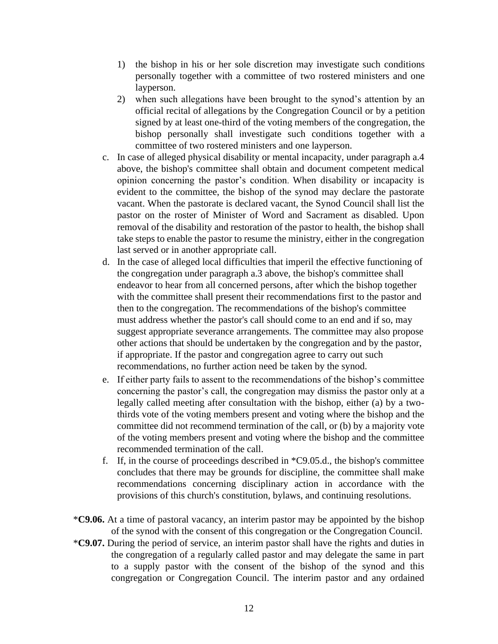- 1) the bishop in his or her sole discretion may investigate such conditions personally together with a committee of two rostered ministers and one layperson.
- 2) when such allegations have been brought to the synod's attention by an official recital of allegations by the Congregation Council or by a petition signed by at least one-third of the voting members of the congregation, the bishop personally shall investigate such conditions together with a committee of two rostered ministers and one layperson.
- c. In case of alleged physical disability or mental incapacity, under paragraph a.4 above, the bishop's committee shall obtain and document competent medical opinion concerning the pastor's condition. When disability or incapacity is evident to the committee, the bishop of the synod may declare the pastorate vacant. When the pastorate is declared vacant, the Synod Council shall list the pastor on the roster of Minister of Word and Sacrament as disabled. Upon removal of the disability and restoration of the pastor to health, the bishop shall take steps to enable the pastor to resume the ministry, either in the congregation last served or in another appropriate call.
- d. In the case of alleged local difficulties that imperil the effective functioning of the congregation under paragraph a.3 above, the bishop's committee shall endeavor to hear from all concerned persons, after which the bishop together with the committee shall present their recommendations first to the pastor and then to the congregation. The recommendations of the bishop's committee must address whether the pastor's call should come to an end and if so, may suggest appropriate severance arrangements. The committee may also propose other actions that should be undertaken by the congregation and by the pastor, if appropriate. If the pastor and congregation agree to carry out such recommendations, no further action need be taken by the synod.
- e. If either party fails to assent to the recommendations of the bishop's committee concerning the pastor's call, the congregation may dismiss the pastor only at a legally called meeting after consultation with the bishop, either (a) by a twothirds vote of the voting members present and voting where the bishop and the committee did not recommend termination of the call, or (b) by a majority vote of the voting members present and voting where the bishop and the committee recommended termination of the call.
- f. If, in the course of proceedings described in \*C9.05.d., the bishop's committee concludes that there may be grounds for discipline, the committee shall make recommendations concerning disciplinary action in accordance with the provisions of this church's constitution, bylaws, and continuing resolutions.
- \***C9.06.** At a time of pastoral vacancy, an interim pastor may be appointed by the bishop of the synod with the consent of this congregation or the Congregation Council.
- \***C9.07.** During the period of service, an interim pastor shall have the rights and duties in the congregation of a regularly called pastor and may delegate the same in part to a supply pastor with the consent of the bishop of the synod and this congregation or Congregation Council. The interim pastor and any ordained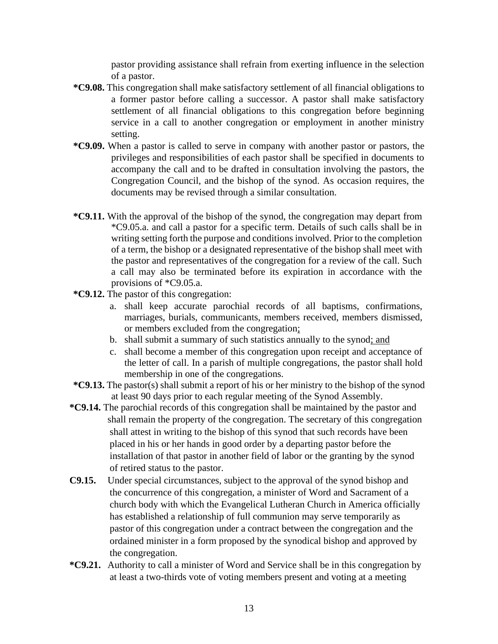pastor providing assistance shall refrain from exerting influence in the selection of a pastor.

- **\*C9.08.** This congregation shall make satisfactory settlement of all financial obligations to a former pastor before calling a successor. A pastor shall make satisfactory settlement of all financial obligations to this congregation before beginning service in a call to another congregation or employment in another ministry setting.
- **\*C9.09.** When a pastor is called to serve in company with another pastor or pastors, the privileges and responsibilities of each pastor shall be specified in documents to accompany the call and to be drafted in consultation involving the pastors, the Congregation Council, and the bishop of the synod. As occasion requires, the documents may be revised through a similar consultation.
- **\*C9.11.** With the approval of the bishop of the synod, the congregation may depart from \*C9.05.a. and call a pastor for a specific term. Details of such calls shall be in writing setting forth the purpose and conditions involved. Prior to the completion of a term, the bishop or a designated representative of the bishop shall meet with the pastor and representatives of the congregation for a review of the call. Such a call may also be terminated before its expiration in accordance with the provisions of \*C9.05.a.
- **\*C9.12.** The pastor of this congregation:
	- a. shall keep accurate parochial records of all baptisms, confirmations, marriages, burials, communicants, members received, members dismissed, or members excluded from the congregation;
	- b. shall submit a summary of such statistics annually to the synod; and
	- c. shall become a member of this congregation upon receipt and acceptance of the letter of call. In a parish of multiple congregations, the pastor shall hold membership in one of the congregations.
- **\*C9.13.** The pastor(s) shall submit a report of his or her ministry to the bishop of the synod at least 90 days prior to each regular meeting of the Synod Assembly.
- **\*C9.14.** The parochial records of this congregation shall be maintained by the pastor and shall remain the property of the congregation. The secretary of this congregation shall attest in writing to the bishop of this synod that such records have been placed in his or her hands in good order by a departing pastor before the installation of that pastor in another field of labor or the granting by the synod of retired status to the pastor.
- **C9.15.** Under special circumstances, subject to the approval of the synod bishop and the concurrence of this congregation, a minister of Word and Sacrament of a church body with which the Evangelical Lutheran Church in America officially has established a relationship of full communion may serve temporarily as pastor of this congregation under a contract between the congregation and the ordained minister in a form proposed by the synodical bishop and approved by the congregation.
- **\*C9.21.** Authority to call a minister of Word and Service shall be in this congregation by at least a two-thirds vote of voting members present and voting at a meeting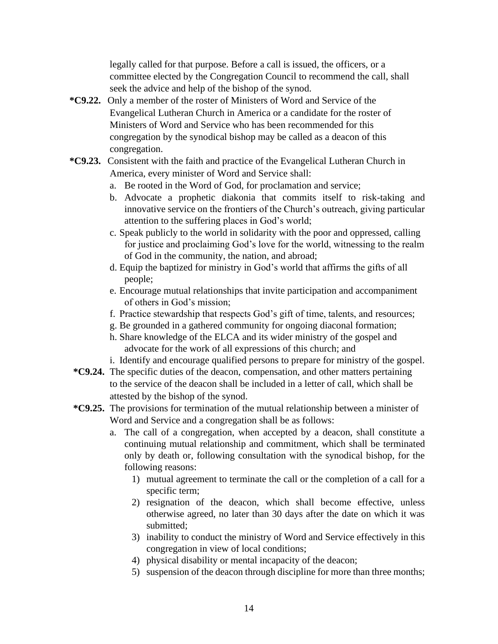legally called for that purpose. Before a call is issued, the officers, or a committee elected by the Congregation Council to recommend the call, shall seek the advice and help of the bishop of the synod.

- **\*C9.22.** Only a member of the roster of Ministers of Word and Service of the Evangelical Lutheran Church in America or a candidate for the roster of Ministers of Word and Service who has been recommended for this congregation by the synodical bishop may be called as a deacon of this congregation.
- **\*C9.23.** Consistent with the faith and practice of the Evangelical Lutheran Church in America, every minister of Word and Service shall:
	- a. Be rooted in the Word of God, for proclamation and service;
	- b. Advocate a prophetic diakonia that commits itself to risk-taking and innovative service on the frontiers of the Church's outreach, giving particular attention to the suffering places in God's world;
	- c. Speak publicly to the world in solidarity with the poor and oppressed, calling for justice and proclaiming God's love for the world, witnessing to the realm of God in the community, the nation, and abroad;
	- d. Equip the baptized for ministry in God's world that affirms the gifts of all people;
	- e. Encourage mutual relationships that invite participation and accompaniment of others in God's mission;
	- f. Practice stewardship that respects God's gift of time, talents, and resources;
	- g. Be grounded in a gathered community for ongoing diaconal formation;
	- h. Share knowledge of the ELCA and its wider ministry of the gospel and advocate for the work of all expressions of this church; and
	- i. Identify and encourage qualified persons to prepare for ministry of the gospel.
- **\*C9.24.** The specific duties of the deacon, compensation, and other matters pertaining to the service of the deacon shall be included in a letter of call, which shall be attested by the bishop of the synod.
- **\*C9.25.** The provisions for termination of the mutual relationship between a minister of Word and Service and a congregation shall be as follows:
	- a. The call of a congregation, when accepted by a deacon, shall constitute a continuing mutual relationship and commitment, which shall be terminated only by death or, following consultation with the synodical bishop, for the following reasons:
		- 1) mutual agreement to terminate the call or the completion of a call for a specific term;
		- 2) resignation of the deacon, which shall become effective, unless otherwise agreed, no later than 30 days after the date on which it was submitted;
		- 3) inability to conduct the ministry of Word and Service effectively in this congregation in view of local conditions;
		- 4) physical disability or mental incapacity of the deacon;
		- 5) suspension of the deacon through discipline for more than three months;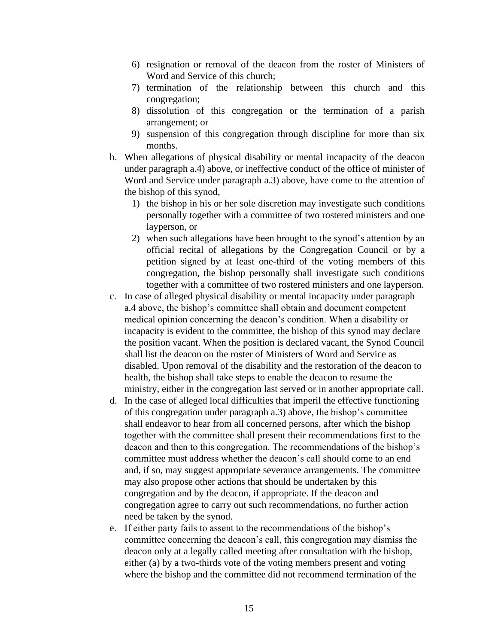- 6) resignation or removal of the deacon from the roster of Ministers of Word and Service of this church;
- 7) termination of the relationship between this church and this congregation;
- 8) dissolution of this congregation or the termination of a parish arrangement; or
- 9) suspension of this congregation through discipline for more than six months.
- b. When allegations of physical disability or mental incapacity of the deacon under paragraph a.4) above, or ineffective conduct of the office of minister of Word and Service under paragraph a.3) above, have come to the attention of the bishop of this synod,
	- 1) the bishop in his or her sole discretion may investigate such conditions personally together with a committee of two rostered ministers and one layperson, or
	- 2) when such allegations have been brought to the synod's attention by an official recital of allegations by the Congregation Council or by a petition signed by at least one-third of the voting members of this congregation, the bishop personally shall investigate such conditions together with a committee of two rostered ministers and one layperson.
- c. In case of alleged physical disability or mental incapacity under paragraph a.4 above, the bishop's committee shall obtain and document competent medical opinion concerning the deacon's condition. When a disability or incapacity is evident to the committee, the bishop of this synod may declare the position vacant. When the position is declared vacant, the Synod Council shall list the deacon on the roster of Ministers of Word and Service as disabled. Upon removal of the disability and the restoration of the deacon to health, the bishop shall take steps to enable the deacon to resume the ministry, either in the congregation last served or in another appropriate call.
- d. In the case of alleged local difficulties that imperil the effective functioning of this congregation under paragraph a.3) above, the bishop's committee shall endeavor to hear from all concerned persons, after which the bishop together with the committee shall present their recommendations first to the deacon and then to this congregation. The recommendations of the bishop's committee must address whether the deacon's call should come to an end and, if so, may suggest appropriate severance arrangements. The committee may also propose other actions that should be undertaken by this congregation and by the deacon, if appropriate. If the deacon and congregation agree to carry out such recommendations, no further action need be taken by the synod.
- e. If either party fails to assent to the recommendations of the bishop's committee concerning the deacon's call, this congregation may dismiss the deacon only at a legally called meeting after consultation with the bishop, either (a) by a two-thirds vote of the voting members present and voting where the bishop and the committee did not recommend termination of the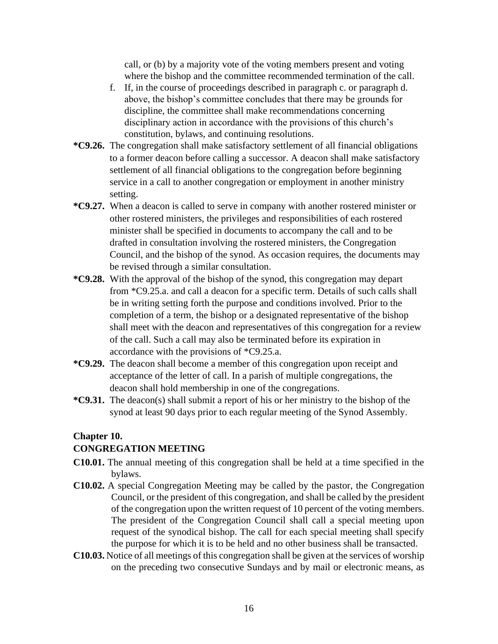call, or (b) by a majority vote of the voting members present and voting where the bishop and the committee recommended termination of the call.

- f. If, in the course of proceedings described in paragraph c. or paragraph d. above, the bishop's committee concludes that there may be grounds for discipline, the committee shall make recommendations concerning disciplinary action in accordance with the provisions of this church's constitution, bylaws, and continuing resolutions.
- **\*C9.26.** The congregation shall make satisfactory settlement of all financial obligations to a former deacon before calling a successor. A deacon shall make satisfactory settlement of all financial obligations to the congregation before beginning service in a call to another congregation or employment in another ministry setting.
- **\*C9.27.** When a deacon is called to serve in company with another rostered minister or other rostered ministers, the privileges and responsibilities of each rostered minister shall be specified in documents to accompany the call and to be drafted in consultation involving the rostered ministers, the Congregation Council, and the bishop of the synod. As occasion requires, the documents may be revised through a similar consultation.
- **\*C9.28.** With the approval of the bishop of the synod, this congregation may depart from \*C9.25.a. and call a deacon for a specific term. Details of such calls shall be in writing setting forth the purpose and conditions involved. Prior to the completion of a term, the bishop or a designated representative of the bishop shall meet with the deacon and representatives of this congregation for a review of the call. Such a call may also be terminated before its expiration in accordance with the provisions of \*C9.25.a.
- **\*C9.29.** The deacon shall become a member of this congregation upon receipt and acceptance of the letter of call. In a parish of multiple congregations, the deacon shall hold membership in one of the congregations.
- **\*C9.31.** The deacon(s) shall submit a report of his or her ministry to the bishop of the synod at least 90 days prior to each regular meeting of the Synod Assembly.

#### **Chapter 10.**

### **CONGREGATION MEETING**

- **C10.01.** The annual meeting of this congregation shall be held at a time specified in the bylaws.
- **C10.02.** A special Congregation Meeting may be called by the pastor, the Congregation Council, or the president of this congregation, and shall be called by the president of the congregation upon the written request of 10 percent of the voting members. The president of the Congregation Council shall call a special meeting upon request of the synodical bishop. The call for each special meeting shall specify the purpose for which it is to be held and no other business shall be transacted.
- **C10.03.** Notice of all meetings of this congregation shall be given at the services of worship on the preceding two consecutive Sundays and by mail or electronic means, as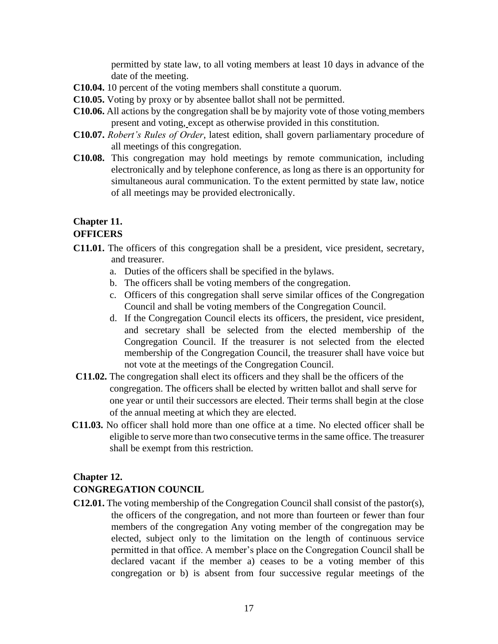permitted by state law, to all voting members at least 10 days in advance of the date of the meeting.

- **C10.04.** 10 percent of the voting members shall constitute a quorum.
- **C10.05.** Voting by proxy or by absentee ballot shall not be permitted.
- **C10.06.** All actions by the congregation shall be by majority vote of those voting members present and voting, except as otherwise provided in this constitution.
- **C10.07.** *Robert's Rules of Order*, latest edition, shall govern parliamentary procedure of all meetings of this congregation.
- **C10.08.** This congregation may hold meetings by remote communication, including electronically and by telephone conference, as long as there is an opportunity for simultaneous aural communication. To the extent permitted by state law, notice of all meetings may be provided electronically.

## **Chapter 11.**

### **OFFICERS**

- **C11.01.** The officers of this congregation shall be a president, vice president, secretary, and treasurer.
	- a. Duties of the officers shall be specified in the bylaws.
	- b. The officers shall be voting members of the congregation.
	- c. Officers of this congregation shall serve similar offices of the Congregation Council and shall be voting members of the Congregation Council.
	- d. If the Congregation Council elects its officers, the president, vice president, and secretary shall be selected from the elected membership of the Congregation Council. If the treasurer is not selected from the elected membership of the Congregation Council, the treasurer shall have voice but not vote at the meetings of the Congregation Council.
- **C11.02.** The congregation shall elect its officers and they shall be the officers of the congregation. The officers shall be elected by written ballot and shall serve for one year or until their successors are elected. Their terms shall begin at the close of the annual meeting at which they are elected.
- **C11.03.** No officer shall hold more than one office at a time. No elected officer shall be eligible to serve more than two consecutive terms in the same office. The treasurer shall be exempt from this restriction.

### **Chapter 12.**

### **CONGREGATION COUNCIL**

**C12.01.** The voting membership of the Congregation Council shall consist of the pastor(s), the officers of the congregation, and not more than fourteen or fewer than four members of the congregation Any voting member of the congregation may be elected, subject only to the limitation on the length of continuous service permitted in that office. A member's place on the Congregation Council shall be declared vacant if the member a) ceases to be a voting member of this congregation or b) is absent from four successive regular meetings of the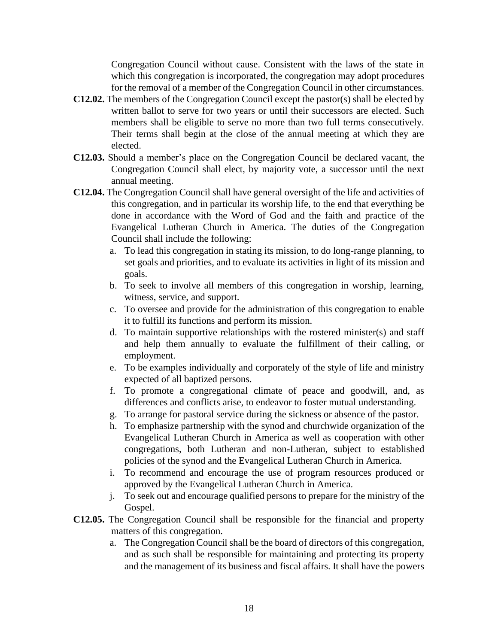Congregation Council without cause. Consistent with the laws of the state in which this congregation is incorporated, the congregation may adopt procedures for the removal of a member of the Congregation Council in other circumstances.

- **C12.02.** The members of the Congregation Council except the pastor(s) shall be elected by written ballot to serve for two years or until their successors are elected. Such members shall be eligible to serve no more than two full terms consecutively. Their terms shall begin at the close of the annual meeting at which they are elected.
- **C12.03.** Should a member's place on the Congregation Council be declared vacant, the Congregation Council shall elect, by majority vote, a successor until the next annual meeting.
- **C12.04.** The Congregation Council shall have general oversight of the life and activities of this congregation, and in particular its worship life, to the end that everything be done in accordance with the Word of God and the faith and practice of the Evangelical Lutheran Church in America. The duties of the Congregation Council shall include the following:
	- a. To lead this congregation in stating its mission, to do long-range planning, to set goals and priorities, and to evaluate its activities in light of its mission and goals.
	- b. To seek to involve all members of this congregation in worship, learning, witness, service, and support.
	- c. To oversee and provide for the administration of this congregation to enable it to fulfill its functions and perform its mission.
	- d. To maintain supportive relationships with the rostered minister(s) and staff and help them annually to evaluate the fulfillment of their calling, or employment.
	- e. To be examples individually and corporately of the style of life and ministry expected of all baptized persons.
	- f. To promote a congregational climate of peace and goodwill, and, as differences and conflicts arise, to endeavor to foster mutual understanding.
	- g. To arrange for pastoral service during the sickness or absence of the pastor.
	- h. To emphasize partnership with the synod and churchwide organization of the Evangelical Lutheran Church in America as well as cooperation with other congregations, both Lutheran and non-Lutheran, subject to established policies of the synod and the Evangelical Lutheran Church in America.
	- i. To recommend and encourage the use of program resources produced or approved by the Evangelical Lutheran Church in America.
	- j. To seek out and encourage qualified persons to prepare for the ministry of the Gospel.
- **C12.05.** The Congregation Council shall be responsible for the financial and property matters of this congregation.
	- a. The Congregation Council shall be the board of directors of this congregation, and as such shall be responsible for maintaining and protecting its property and the management of its business and fiscal affairs. It shall have the powers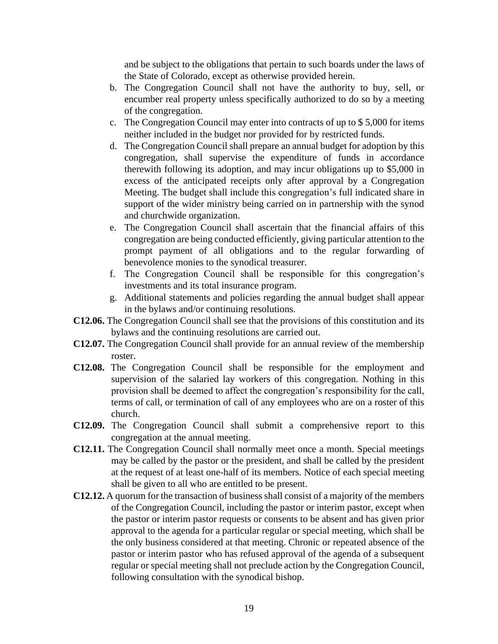and be subject to the obligations that pertain to such boards under the laws of the State of Colorado, except as otherwise provided herein.

- b. The Congregation Council shall not have the authority to buy, sell, or encumber real property unless specifically authorized to do so by a meeting of the congregation.
- c. The Congregation Council may enter into contracts of up to \$ 5,000 for items neither included in the budget nor provided for by restricted funds.
- d. The Congregation Council shall prepare an annual budget for adoption by this congregation, shall supervise the expenditure of funds in accordance therewith following its adoption, and may incur obligations up to \$5,000 in excess of the anticipated receipts only after approval by a Congregation Meeting. The budget shall include this congregation's full indicated share in support of the wider ministry being carried on in partnership with the synod and churchwide organization.
- e. The Congregation Council shall ascertain that the financial affairs of this congregation are being conducted efficiently, giving particular attention to the prompt payment of all obligations and to the regular forwarding of benevolence monies to the synodical treasurer.
- f. The Congregation Council shall be responsible for this congregation's investments and its total insurance program.
- g. Additional statements and policies regarding the annual budget shall appear in the bylaws and/or continuing resolutions.
- **C12.06.** The Congregation Council shall see that the provisions of this constitution and its bylaws and the continuing resolutions are carried out.
- **C12.07.** The Congregation Council shall provide for an annual review of the membership roster.
- **C12.08.** The Congregation Council shall be responsible for the employment and supervision of the salaried lay workers of this congregation. Nothing in this provision shall be deemed to affect the congregation's responsibility for the call, terms of call, or termination of call of any employees who are on a roster of this church.
- **C12.09.** The Congregation Council shall submit a comprehensive report to this congregation at the annual meeting.
- **C12.11.** The Congregation Council shall normally meet once a month. Special meetings may be called by the pastor or the president, and shall be called by the president at the request of at least one-half of its members. Notice of each special meeting shall be given to all who are entitled to be present.
- **C12.12.** A quorum for the transaction of business shall consist of a majority of the members of the Congregation Council, including the pastor or interim pastor, except when the pastor or interim pastor requests or consents to be absent and has given prior approval to the agenda for a particular regular or special meeting, which shall be the only business considered at that meeting. Chronic or repeated absence of the pastor or interim pastor who has refused approval of the agenda of a subsequent regular or special meeting shall not preclude action by the Congregation Council, following consultation with the synodical bishop.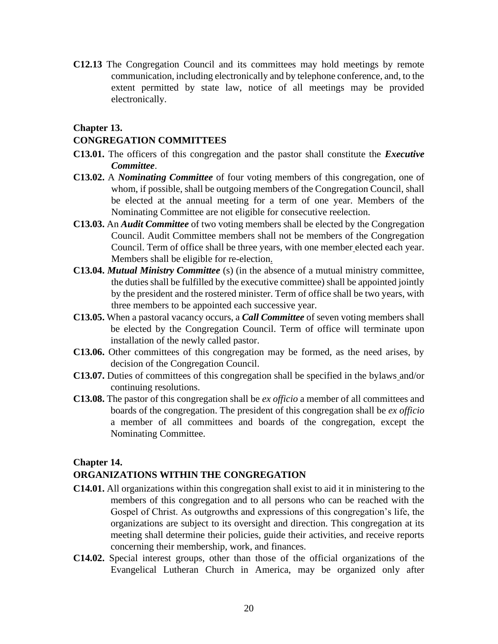**C12.13** The Congregation Council and its committees may hold meetings by remote communication, including electronically and by telephone conference, and, to the extent permitted by state law, notice of all meetings may be provided electronically.

#### **Chapter 13.**

#### **CONGREGATION COMMITTEES**

- **C13.01.** The officers of this congregation and the pastor shall constitute the *Executive Committee*.
- **C13.02.** A *Nominating Committee* of four voting members of this congregation, one of whom, if possible, shall be outgoing members of the Congregation Council, shall be elected at the annual meeting for a term of one year. Members of the Nominating Committee are not eligible for consecutive reelection.
- **C13.03.** An *Audit Committee* of two voting members shall be elected by the Congregation Council. Audit Committee members shall not be members of the Congregation Council. Term of office shall be three years, with one member elected each year. Members shall be eligible for re-election.
- **C13.04.** *Mutual Ministry Committee* (s) (in the absence of a mutual ministry committee, the duties shall be fulfilled by the executive committee) shall be appointed jointly by the president and the rostered minister. Term of office shall be two years, with three members to be appointed each successive year.
- **C13.05.** When a pastoral vacancy occurs, a *Call Committee* of seven voting members shall be elected by the Congregation Council. Term of office will terminate upon installation of the newly called pastor.
- **C13.06.** Other committees of this congregation may be formed, as the need arises, by decision of the Congregation Council.
- **C13.07.** Duties of committees of this congregation shall be specified in the bylaws and/or continuing resolutions.
- **C13.08.** The pastor of this congregation shall be *ex officio* a member of all committees and boards of the congregation. The president of this congregation shall be *ex officio* a member of all committees and boards of the congregation, except the Nominating Committee.

#### **Chapter 14.**

#### **ORGANIZATIONS WITHIN THE CONGREGATION**

- **C14.01.** All organizations within this congregation shall exist to aid it in ministering to the members of this congregation and to all persons who can be reached with the Gospel of Christ. As outgrowths and expressions of this congregation's life, the organizations are subject to its oversight and direction. This congregation at its meeting shall determine their policies, guide their activities, and receive reports concerning their membership, work, and finances.
- **C14.02.** Special interest groups, other than those of the official organizations of the Evangelical Lutheran Church in America, may be organized only after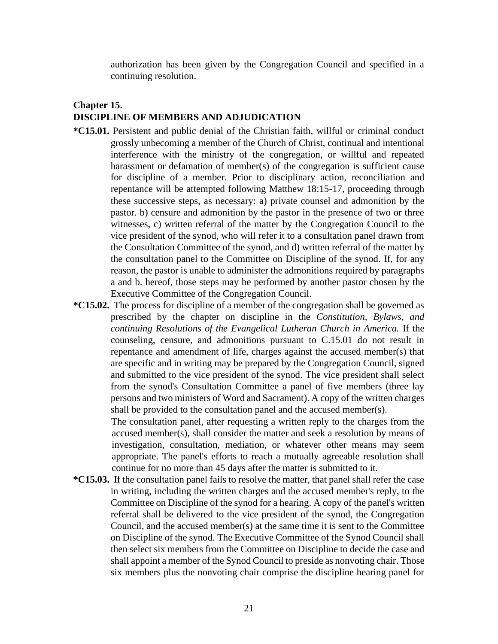authorization has been given by the Congregation Council and specified in a continuing resolution.

### **Chapter 15. DISCIPLINE OF MEMBERS AND ADJUDICATION**

- **\*C15.01.** Persistent and public denial of the Christian faith, willful or criminal conduct grossly unbecoming a member of the Church of Christ, continual and intentional interference with the ministry of the congregation, or willful and repeated harassment or defamation of member(s) of the congregation is sufficient cause for discipline of a member. Prior to disciplinary action, reconciliation and repentance will be attempted following Matthew 18:15-17, proceeding through these successive steps, as necessary: a) private counsel and admonition by the pastor. b) censure and admonition by the pastor in the presence of two or three witnesses, c) written referral of the matter by the Congregation Council to the vice president of the synod, who will refer it to a consultation panel drawn from the Consultation Committee of the synod, and d) written referral of the matter by the consultation panel to the Committee on Discipline of the synod. If, for any reason, the pastor is unable to administer the admonitions required by paragraphs a and b. hereof, those steps may be performed by another pastor chosen by the Executive Committee of the Congregation Council.
- **\*C15.02.** The process for discipline of a member of the congregation shall be governed as prescribed by the chapter on discipline in the *Constitution, Bylaws, and continuing Resolutions of the Evangelical Lutheran Church in America.* If the counseling, censure, and admonitions pursuant to C.15.01 do not result in repentance and amendment of life, charges against the accused member(s) that are specific and in writing may be prepared by the Congregation Council, signed and submitted to the vice president of the synod. The vice president shall select from the synod's Consultation Committee a panel of five members (three lay persons and two ministers of Word and Sacrament). A copy of the written charges shall be provided to the consultation panel and the accused member(s).

The consultation panel, after requesting a written reply to the charges from the accused member(s), shall consider the matter and seek a resolution by means of investigation, consultation, mediation, or whatever other means may seem appropriate. The panel's efforts to reach a mutually agreeable resolution shall continue for no more than 45 days after the matter is submitted to it.

**\*C15.03.** If the consultation panel fails to resolve the matter, that panel shall refer the case in writing, including the written charges and the accused member's reply, to the Committee on Discipline of the synod for a hearing. A copy of the panel's written referral shall be delivered to the vice president of the synod, the Congregation Council, and the accused member(s) at the same time it is sent to the Committee on Discipline of the synod. The Executive Committee of the Synod Council shall then select six members from the Committee on Discipline to decide the case and shall appoint a member of the Synod Council to preside as nonvoting chair. Those six members plus the nonvoting chair comprise the discipline hearing panel for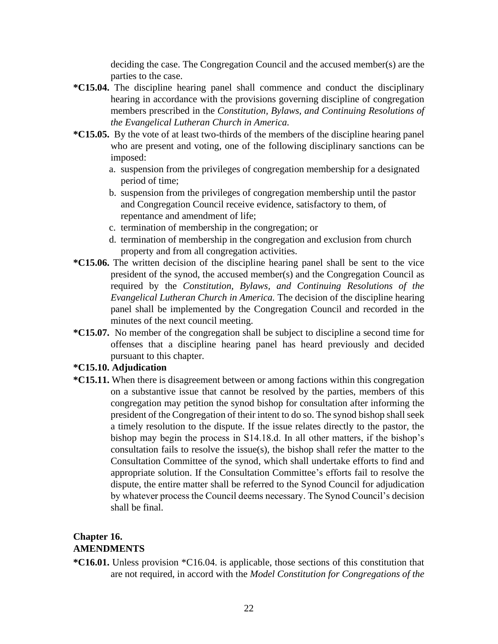deciding the case. The Congregation Council and the accused member(s) are the parties to the case.

- **\*C15.04.** The discipline hearing panel shall commence and conduct the disciplinary hearing in accordance with the provisions governing discipline of congregation members prescribed in the *Constitution, Bylaws, and Continuing Resolutions of the Evangelical Lutheran Church in America.*
- **\*C15.05.** By the vote of at least two-thirds of the members of the discipline hearing panel who are present and voting, one of the following disciplinary sanctions can be imposed:
	- a. suspension from the privileges of congregation membership for a designated period of time;
	- b. suspension from the privileges of congregation membership until the pastor and Congregation Council receive evidence, satisfactory to them, of repentance and amendment of life;
	- c. termination of membership in the congregation; or
	- d. termination of membership in the congregation and exclusion from church property and from all congregation activities.
- **\*C15.06.** The written decision of the discipline hearing panel shall be sent to the vice president of the synod, the accused member(s) and the Congregation Council as required by the *Constitution, Bylaws, and Continuing Resolutions of the Evangelical Lutheran Church in America.* The decision of the discipline hearing panel shall be implemented by the Congregation Council and recorded in the minutes of the next council meeting.
- **\*C15.07.** No member of the congregation shall be subject to discipline a second time for offenses that a discipline hearing panel has heard previously and decided pursuant to this chapter.

### **\*C15.10. Adjudication**

**\*C15.11.** When there is disagreement between or among factions within this congregation on a substantive issue that cannot be resolved by the parties, members of this congregation may petition the synod bishop for consultation after informing the president of the Congregation of their intent to do so. The synod bishop shall seek a timely resolution to the dispute. If the issue relates directly to the pastor, the bishop may begin the process in S14.18.d. In all other matters, if the bishop's consultation fails to resolve the issue(s), the bishop shall refer the matter to the Consultation Committee of the synod, which shall undertake efforts to find and appropriate solution. If the Consultation Committee's efforts fail to resolve the dispute, the entire matter shall be referred to the Synod Council for adjudication by whatever process the Council deems necessary. The Synod Council's decision shall be final.

### **Chapter 16. AMENDMENTS**

**\*C16.01.** Unless provision \*C16.04. is applicable, those sections of this constitution that are not required, in accord with the *Model Constitution for Congregations of the*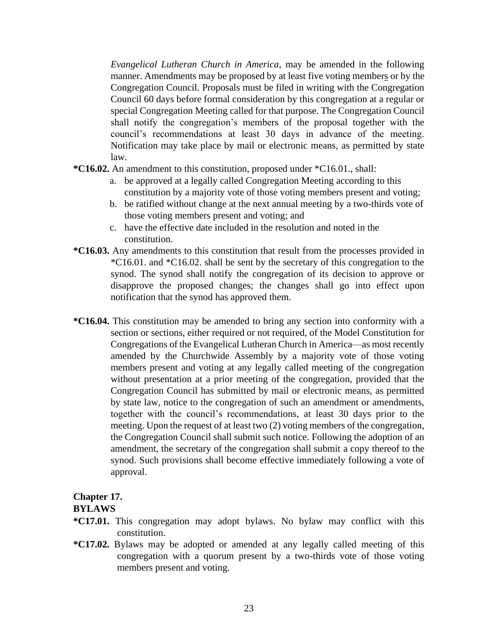*Evangelical Lutheran Church in America*, may be amended in the following manner. Amendments may be proposed by at least five voting members or by the Congregation Council. Proposals must be filed in writing with the Congregation Council 60 days before formal consideration by this congregation at a regular or special Congregation Meeting called for that purpose. The Congregation Council shall notify the congregation's members of the proposal together with the council's recommendations at least 30 days in advance of the meeting. Notification may take place by mail or electronic means, as permitted by state law.

- **\*C16.02.** An amendment to this constitution, proposed under \*C16.01., shall:
	- a. be approved at a legally called Congregation Meeting according to this constitution by a majority vote of those voting members present and voting;
	- b. be ratified without change at the next annual meeting by a two-thirds vote of those voting members present and voting; and
	- c. have the effective date included in the resolution and noted in the constitution.
- **\*C16.03.** Any amendments to this constitution that result from the processes provided in \*C16.01. and \*C16.02. shall be sent by the secretary of this congregation to the synod. The synod shall notify the congregation of its decision to approve or disapprove the proposed changes; the changes shall go into effect upon notification that the synod has approved them.
- **\*C16.04.** This constitution may be amended to bring any section into conformity with a section or sections, either required or not required, of the Model Constitution for Congregations of the Evangelical Lutheran Church in America—as most recently amended by the Churchwide Assembly by a majority vote of those voting members present and voting at any legally called meeting of the congregation without presentation at a prior meeting of the congregation, provided that the Congregation Council has submitted by mail or electronic means, as permitted by state law, notice to the congregation of such an amendment or amendments, together with the council's recommendations, at least 30 days prior to the meeting. Upon the request of at least two (2) voting members of the congregation, the Congregation Council shall submit such notice. Following the adoption of an amendment, the secretary of the congregation shall submit a copy thereof to the synod. Such provisions shall become effective immediately following a vote of approval.

### **Chapter 17.**

#### **BYLAWS**

- **\*C17.01.** This congregation may adopt bylaws. No bylaw may conflict with this constitution.
- **\*C17.02.** Bylaws may be adopted or amended at any legally called meeting of this congregation with a quorum present by a two-thirds vote of those voting members present and voting.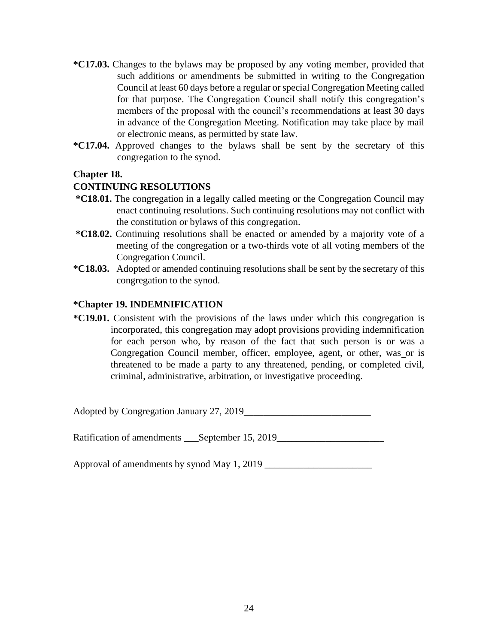- **\*C17.03.** Changes to the bylaws may be proposed by any voting member, provided that such additions or amendments be submitted in writing to the Congregation Council at least 60 days before a regular or special Congregation Meeting called for that purpose. The Congregation Council shall notify this congregation's members of the proposal with the council's recommendations at least 30 days in advance of the Congregation Meeting. Notification may take place by mail or electronic means, as permitted by state law.
- **\*C17.04.** Approved changes to the bylaws shall be sent by the secretary of this congregation to the synod.

#### **Chapter 18.**

### **CONTINUING RESOLUTIONS**

- **\*C18.01.** The congregation in a legally called meeting or the Congregation Council may enact continuing resolutions. Such continuing resolutions may not conflict with the constitution or bylaws of this congregation.
- **\*C18.02.** Continuing resolutions shall be enacted or amended by a majority vote of a meeting of the congregation or a two-thirds vote of all voting members of the Congregation Council.
- **\*C18.03.** Adopted or amended continuing resolutions shall be sent by the secretary of this congregation to the synod.

#### **\*Chapter 19. INDEMNIFICATION**

**\*C19.01.** Consistent with the provisions of the laws under which this congregation is incorporated, this congregation may adopt provisions providing indemnification for each person who, by reason of the fact that such person is or was a Congregation Council member, officer, employee, agent, or other, was or is threatened to be made a party to any threatened, pending, or completed civil, criminal, administrative, arbitration, or investigative proceeding.

Adopted by Congregation January 27, 2019

Ratification of amendments \_\_\_September 15, 2019\_\_\_\_\_\_\_\_\_\_\_\_\_\_\_\_\_\_\_\_\_\_\_\_\_\_\_\_\_\_\_\_

Approval of amendments by synod May 1, 2019 \_\_\_\_\_\_\_\_\_\_\_\_\_\_\_\_\_\_\_\_\_\_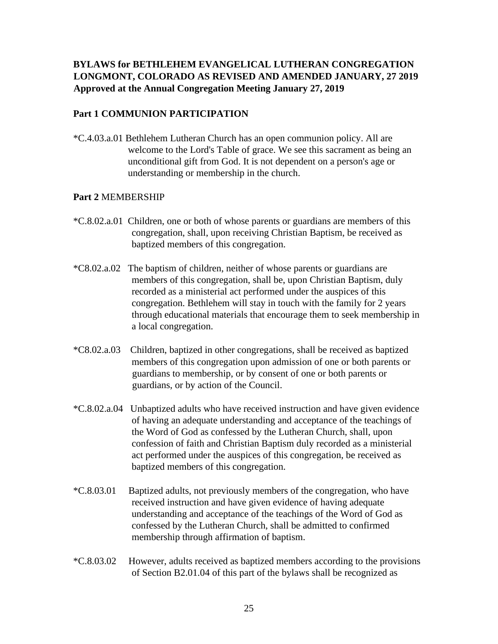### **BYLAWS for BETHLEHEM EVANGELICAL LUTHERAN CONGREGATION LONGMONT, COLORADO AS REVISED AND AMENDED JANUARY, 27 2019 Approved at the Annual Congregation Meeting January 27, 2019**

### **Part 1 COMMUNION PARTICIPATION**

\*C.4.03.a.01 Bethlehem Lutheran Church has an open communion policy. All are welcome to the Lord's Table of grace. We see this sacrament as being an unconditional gift from God. It is not dependent on a person's age or understanding or membership in the church.

### **Part 2** MEMBERSHIP

- \*C.8.02.a.01 Children, one or both of whose parents or guardians are members of this congregation, shall, upon receiving Christian Baptism, be received as baptized members of this congregation.
- \*C8.02.a.02 The baptism of children, neither of whose parents or guardians are members of this congregation, shall be, upon Christian Baptism, duly recorded as a ministerial act performed under the auspices of this congregation. Bethlehem will stay in touch with the family for 2 years through educational materials that encourage them to seek membership in a local congregation.
- \*C8.02.a.03 Children, baptized in other congregations, shall be received as baptized members of this congregation upon admission of one or both parents or guardians to membership, or by consent of one or both parents or guardians, or by action of the Council.
- \*C.8.02.a.04 Unbaptized adults who have received instruction and have given evidence of having an adequate understanding and acceptance of the teachings of the Word of God as confessed by the Lutheran Church, shall, upon confession of faith and Christian Baptism duly recorded as a ministerial act performed under the auspices of this congregation, be received as baptized members of this congregation.
- \*C.8.03.01 Baptized adults, not previously members of the congregation, who have received instruction and have given evidence of having adequate understanding and acceptance of the teachings of the Word of God as confessed by the Lutheran Church, shall be admitted to confirmed membership through affirmation of baptism.
- \*C.8.03.02 However, adults received as baptized members according to the provisions of Section B2.01.04 of this part of the bylaws shall be recognized as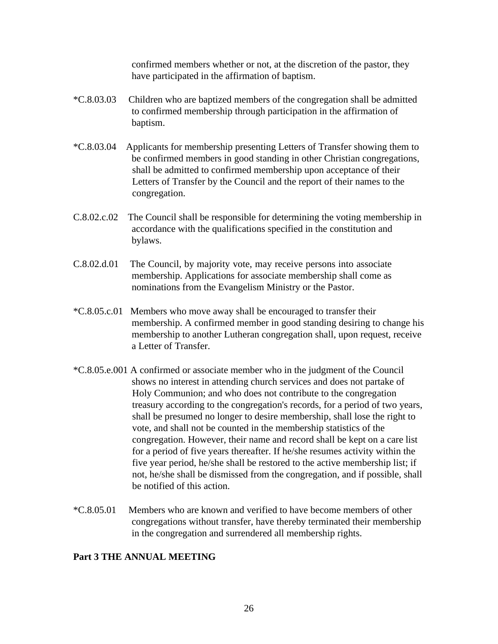confirmed members whether or not, at the discretion of the pastor, they have participated in the affirmation of baptism.

- \*C.8.03.03 Children who are baptized members of the congregation shall be admitted to confirmed membership through participation in the affirmation of baptism.
- \*C.8.03.04 Applicants for membership presenting Letters of Transfer showing them to be confirmed members in good standing in other Christian congregations, shall be admitted to confirmed membership upon acceptance of their Letters of Transfer by the Council and the report of their names to the congregation.
- C.8.02.c.02 The Council shall be responsible for determining the voting membership in accordance with the qualifications specified in the constitution and bylaws.
- C.8.02.d.01 The Council, by majority vote, may receive persons into associate membership. Applications for associate membership shall come as nominations from the Evangelism Ministry or the Pastor.
- \*C.8.05.c.01 Members who move away shall be encouraged to transfer their membership. A confirmed member in good standing desiring to change his membership to another Lutheran congregation shall, upon request, receive a Letter of Transfer.
- \*C.8.05.e.001 A confirmed or associate member who in the judgment of the Council shows no interest in attending church services and does not partake of Holy Communion; and who does not contribute to the congregation treasury according to the congregation's records, for a period of two years, shall be presumed no longer to desire membership, shall lose the right to vote, and shall not be counted in the membership statistics of the congregation. However, their name and record shall be kept on a care list for a period of five years thereafter. If he/she resumes activity within the five year period, he/she shall be restored to the active membership list; if not, he/she shall be dismissed from the congregation, and if possible, shall be notified of this action.
- \*C.8.05.01Members who are known and verified to have become members of other congregations without transfer, have thereby terminated their membership in the congregation and surrendered all membership rights.

### **Part 3 THE ANNUAL MEETING**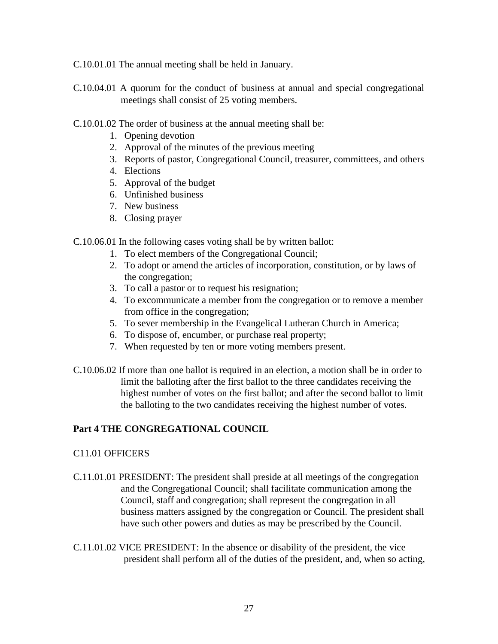C.10.01.01 The annual meeting shall be held in January.

- C.10.04.01 A quorum for the conduct of business at annual and special congregational meetings shall consist of 25 voting members.
- C.10.01.02 The order of business at the annual meeting shall be:
	- 1. Opening devotion
	- 2. Approval of the minutes of the previous meeting
	- 3. Reports of pastor, Congregational Council, treasurer, committees, and others
	- 4. Elections
	- 5. Approval of the budget
	- 6. Unfinished business
	- 7. New business
	- 8. Closing prayer

C.10.06.01 In the following cases voting shall be by written ballot:

- 1. To elect members of the Congregational Council;
- 2. To adopt or amend the articles of incorporation, constitution, or by laws of the congregation;
- 3. To call a pastor or to request his resignation;
- 4. To excommunicate a member from the congregation or to remove a member from office in the congregation;
- 5. To sever membership in the Evangelical Lutheran Church in America;
- 6. To dispose of, encumber, or purchase real property;
- 7. When requested by ten or more voting members present.
- C.10.06.02 If more than one ballot is required in an election, a motion shall be in order to limit the balloting after the first ballot to the three candidates receiving the highest number of votes on the first ballot; and after the second ballot to limit the balloting to the two candidates receiving the highest number of votes.

### **Part 4 THE CONGREGATIONAL COUNCIL**

#### C11.01 OFFICERS

- C.11.01.01 PRESIDENT: The president shall preside at all meetings of the congregation and the Congregational Council; shall facilitate communication among the Council, staff and congregation; shall represent the congregation in all business matters assigned by the congregation or Council. The president shall have such other powers and duties as may be prescribed by the Council.
- C.11.01.02 VICE PRESIDENT: In the absence or disability of the president, the vice president shall perform all of the duties of the president, and, when so acting,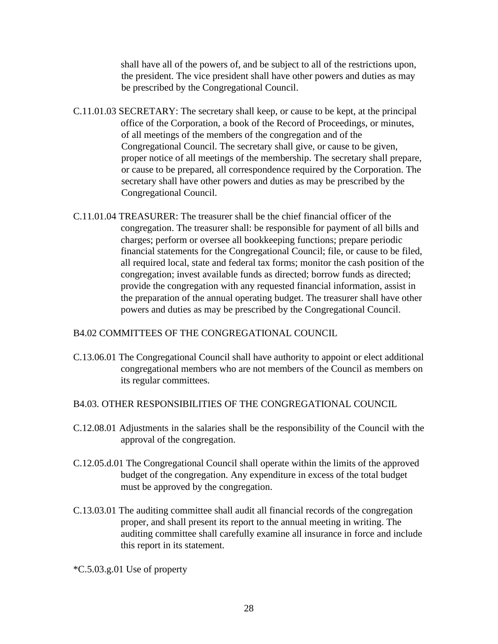shall have all of the powers of, and be subject to all of the restrictions upon, the president. The vice president shall have other powers and duties as may be prescribed by the Congregational Council.

- C.11.01.03 SECRETARY: The secretary shall keep, or cause to be kept, at the principal office of the Corporation, a book of the Record of Proceedings, or minutes, of all meetings of the members of the congregation and of the Congregational Council. The secretary shall give, or cause to be given, proper notice of all meetings of the membership. The secretary shall prepare, or cause to be prepared, all correspondence required by the Corporation. The secretary shall have other powers and duties as may be prescribed by the Congregational Council.
- C.11.01.04 TREASURER: The treasurer shall be the chief financial officer of the congregation. The treasurer shall: be responsible for payment of all bills and charges; perform or oversee all bookkeeping functions; prepare periodic financial statements for the Congregational Council; file, or cause to be filed, all required local, state and federal tax forms; monitor the cash position of the congregation; invest available funds as directed; borrow funds as directed; provide the congregation with any requested financial information, assist in the preparation of the annual operating budget. The treasurer shall have other powers and duties as may be prescribed by the Congregational Council.

B4.02 COMMITTEES OF THE CONGREGATIONAL COUNCIL

C.13.06.01 The Congregational Council shall have authority to appoint or elect additional congregational members who are not members of the Council as members on its regular committees.

B4.03. OTHER RESPONSIBILITIES OF THE CONGREGATIONAL COUNCIL

- C.12.08.01 Adjustments in the salaries shall be the responsibility of the Council with the approval of the congregation.
- C.12.05.d.01 The Congregational Council shall operate within the limits of the approved budget of the congregation. Any expenditure in excess of the total budget must be approved by the congregation.
- C.13.03.01 The auditing committee shall audit all financial records of the congregation proper, and shall present its report to the annual meeting in writing. The auditing committee shall carefully examine all insurance in force and include this report in its statement.

\*C.5.03.g.01 Use of property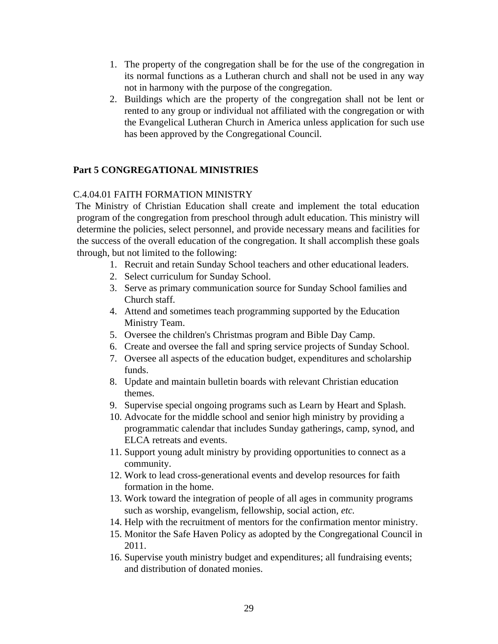- 1. The property of the congregation shall be for the use of the congregation in its normal functions as a Lutheran church and shall not be used in any way not in harmony with the purpose of the congregation.
- 2. Buildings which are the property of the congregation shall not be lent or rented to any group or individual not affiliated with the congregation or with the Evangelical Lutheran Church in America unless application for such use has been approved by the Congregational Council.

### **Part 5 CONGREGATIONAL MINISTRIES**

### C.4.04.01 FAITH FORMATION MINISTRY

The Ministry of Christian Education shall create and implement the total education program of the congregation from preschool through adult education. This ministry will determine the policies, select personnel, and provide necessary means and facilities for the success of the overall education of the congregation. It shall accomplish these goals through, but not limited to the following:

- 1. Recruit and retain Sunday School teachers and other educational leaders.
- 2. Select curriculum for Sunday School.
- 3. Serve as primary communication source for Sunday School families and Church staff.
- 4. Attend and sometimes teach programming supported by the Education Ministry Team.
- 5. Oversee the children's Christmas program and Bible Day Camp.
- 6. Create and oversee the fall and spring service projects of Sunday School.
- 7. Oversee all aspects of the education budget, expenditures and scholarship funds.
- 8. Update and maintain bulletin boards with relevant Christian education themes.
- 9. Supervise special ongoing programs such as Learn by Heart and Splash.
- 10. Advocate for the middle school and senior high ministry by providing a programmatic calendar that includes Sunday gatherings, camp, synod, and ELCA retreats and events.
- 11. Support young adult ministry by providing opportunities to connect as a community.
- 12. Work to lead cross-generational events and develop resources for faith formation in the home.
- 13. Work toward the integration of people of all ages in community programs such as worship, evangelism, fellowship, social action, *etc.*
- 14. Help with the recruitment of mentors for the confirmation mentor ministry.
- 15. Monitor the Safe Haven Policy as adopted by the Congregational Council in 2011.
- 16. Supervise youth ministry budget and expenditures; all fundraising events; and distribution of donated monies.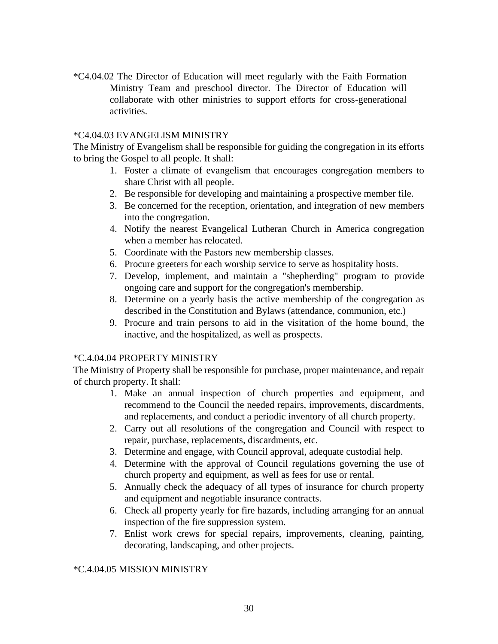\*C4.04.02 The Director of Education will meet regularly with the Faith Formation Ministry Team and preschool director. The Director of Education will collaborate with other ministries to support efforts for cross-generational activities.

#### \*C4.04.03 EVANGELISM MINISTRY

The Ministry of Evangelism shall be responsible for guiding the congregation in its efforts to bring the Gospel to all people. It shall:

- 1. Foster a climate of evangelism that encourages congregation members to share Christ with all people.
- 2. Be responsible for developing and maintaining a prospective member file.
- 3. Be concerned for the reception, orientation, and integration of new members into the congregation.
- 4. Notify the nearest Evangelical Lutheran Church in America congregation when a member has relocated.
- 5. Coordinate with the Pastors new membership classes.
- 6. Procure greeters for each worship service to serve as hospitality hosts.
- 7. Develop, implement, and maintain a "shepherding" program to provide ongoing care and support for the congregation's membership.
- 8. Determine on a yearly basis the active membership of the congregation as described in the Constitution and Bylaws (attendance, communion, etc.)
- 9. Procure and train persons to aid in the visitation of the home bound, the inactive, and the hospitalized, as well as prospects.

#### \*C.4.04.04 PROPERTY MINISTRY

The Ministry of Property shall be responsible for purchase, proper maintenance, and repair of church property. It shall:

- 1. Make an annual inspection of church properties and equipment, and recommend to the Council the needed repairs, improvements, discardments, and replacements, and conduct a periodic inventory of all church property.
- 2. Carry out all resolutions of the congregation and Council with respect to repair, purchase, replacements, discardments, etc.
- 3. Determine and engage, with Council approval, adequate custodial help.
- 4. Determine with the approval of Council regulations governing the use of church property and equipment, as well as fees for use or rental.
- 5. Annually check the adequacy of all types of insurance for church property and equipment and negotiable insurance contracts.
- 6. Check all property yearly for fire hazards, including arranging for an annual inspection of the fire suppression system.
- 7. Enlist work crews for special repairs, improvements, cleaning, painting, decorating, landscaping, and other projects.

#### \*C.4.04.05 MISSION MINISTRY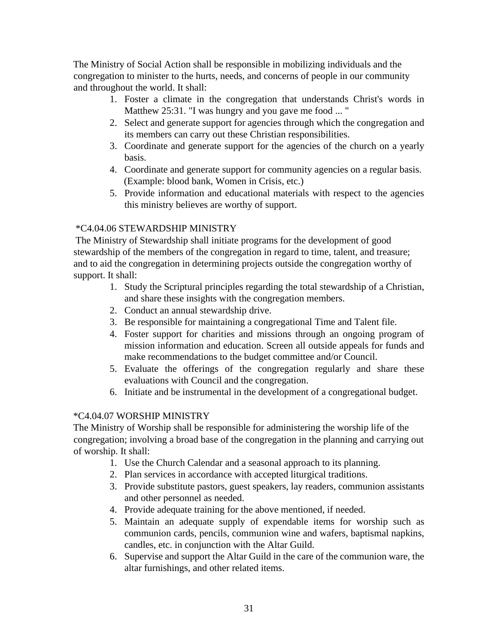The Ministry of Social Action shall be responsible in mobilizing individuals and the congregation to minister to the hurts, needs, and concerns of people in our community and throughout the world. It shall:

- 1. Foster a climate in the congregation that understands Christ's words in Matthew 25:31. "I was hungry and you gave me food ... "
- 2. Select and generate support for agencies through which the congregation and its members can carry out these Christian responsibilities.
- 3. Coordinate and generate support for the agencies of the church on a yearly basis.
- 4. Coordinate and generate support for community agencies on a regular basis. (Example: blood bank, Women in Crisis, etc.)
- 5. Provide information and educational materials with respect to the agencies this ministry believes are worthy of support.

### \*C4.04.06 STEWARDSHIP MINISTRY

The Ministry of Stewardship shall initiate programs for the development of good stewardship of the members of the congregation in regard to time, talent, and treasure; and to aid the congregation in determining projects outside the congregation worthy of support. It shall:

- 1. Study the Scriptural principles regarding the total stewardship of a Christian, and share these insights with the congregation members.
- 2. Conduct an annual stewardship drive.
- 3. Be responsible for maintaining a congregational Time and Talent file.
- 4. Foster support for charities and missions through an ongoing program of mission information and education. Screen all outside appeals for funds and make recommendations to the budget committee and/or Council.
- 5. Evaluate the offerings of the congregation regularly and share these evaluations with Council and the congregation.
- 6. Initiate and be instrumental in the development of a congregational budget.

### \*C4.04.07 WORSHIP MINISTRY

The Ministry of Worship shall be responsible for administering the worship life of the congregation; involving a broad base of the congregation in the planning and carrying out of worship. It shall:

- 1. Use the Church Calendar and a seasonal approach to its planning.
- 2. Plan services in accordance with accepted liturgical traditions.
- 3. Provide substitute pastors, guest speakers, lay readers, communion assistants and other personnel as needed.
- 4. Provide adequate training for the above mentioned, if needed.
- 5. Maintain an adequate supply of expendable items for worship such as communion cards, pencils, communion wine and wafers, baptismal napkins, candles, etc. in conjunction with the Altar Guild.
- 6. Supervise and support the Altar Guild in the care of the communion ware, the altar furnishings, and other related items.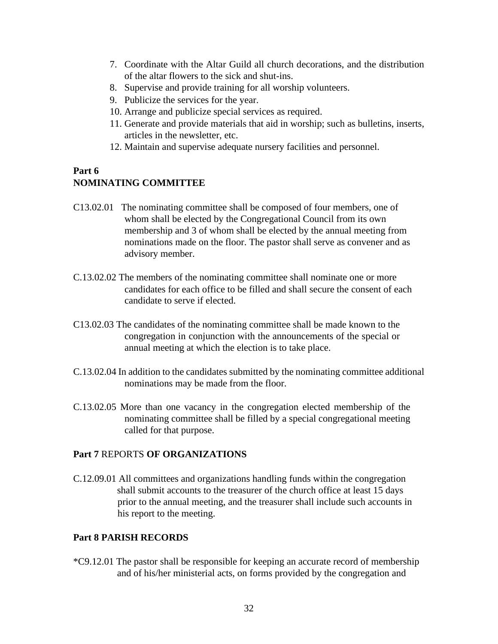- 7. Coordinate with the Altar Guild all church decorations, and the distribution of the altar flowers to the sick and shut-ins.
- 8. Supervise and provide training for all worship volunteers.
- 9. Publicize the services for the year.
- 10. Arrange and publicize special services as required.
- 11. Generate and provide materials that aid in worship; such as bulletins, inserts, articles in the newsletter, etc.
- 12. Maintain and supervise adequate nursery facilities and personnel.

### **Part 6 NOMINATING COMMITTEE**

- C13.02.01 The nominating committee shall be composed of four members, one of whom shall be elected by the Congregational Council from its own membership and 3 of whom shall be elected by the annual meeting from nominations made on the floor. The pastor shall serve as convener and as advisory member.
- C.13.02.02 The members of the nominating committee shall nominate one or more candidates for each office to be filled and shall secure the consent of each candidate to serve if elected.
- C13.02.03 The candidates of the nominating committee shall be made known to the congregation in conjunction with the announcements of the special or annual meeting at which the election is to take place.
- C.13.02.04 In addition to the candidates submitted by the nominating committee additional nominations may be made from the floor.
- C.13.02.05 More than one vacancy in the congregation elected membership of the nominating committee shall be filled by a special congregational meeting called for that purpose.

### **Part 7** REPORTS **OF ORGANIZATIONS**

C.12.09.01 All committees and organizations handling funds within the congregation shall submit accounts to the treasurer of the church office at least 15 days prior to the annual meeting, and the treasurer shall include such accounts in his report to the meeting.

### **Part 8 PARISH RECORDS**

\*C9.12.01 The pastor shall be responsible for keeping an accurate record of membership and of his/her ministerial acts, on forms provided by the congregation and